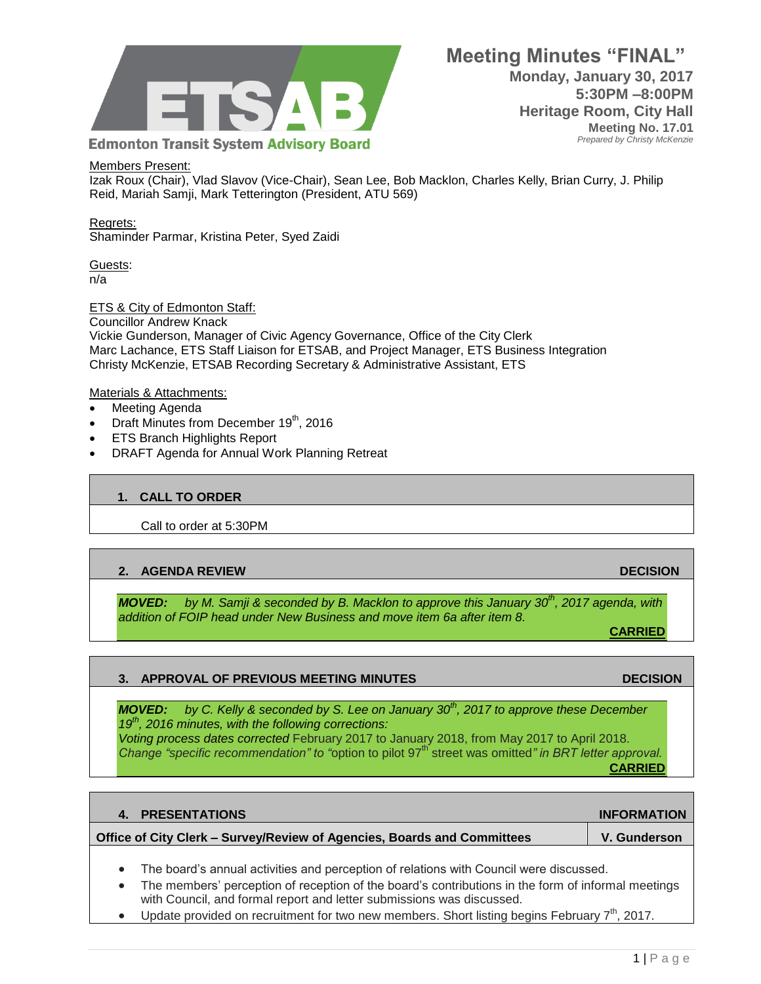

#### Members Present:

Izak Roux (Chair), Vlad Slavov (Vice-Chair), Sean Lee, Bob Macklon, Charles Kelly, Brian Curry, J. Philip Reid, Mariah Samji, Mark Tetterington (President, ATU 569)

Regrets:

Shaminder Parmar, Kristina Peter, Syed Zaidi

Guests: n/a

#### ETS & City of Edmonton Staff:

Councillor Andrew Knack Vickie Gunderson, Manager of Civic Agency Governance, Office of the City Clerk Marc Lachance, ETS Staff Liaison for ETSAB, and Project Manager, ETS Business Integration Christy McKenzie, ETSAB Recording Secretary & Administrative Assistant, ETS

#### Materials & Attachments:

- Meeting Agenda
- $\bullet$  Draft Minutes from December 19<sup>th</sup>, 2016
- ETS Branch Highlights Report
- DRAFT Agenda for Annual Work Planning Retreat

#### **1. CALL TO ORDER**

Call to order at 5:30PM

#### **2. AGENDA REVIEW DECISION**

*MOVED: by M. Samji & seconded by B. Macklon to approve this January 30th, 2017 agenda, with addition of FOIP head under New Business and move item 6a after item 8.* 

**CARRIED**

#### **3. APPROVAL OF PREVIOUS MEETING MINUTES DECISION**

*MOVED: by C. Kelly & seconded by S. Lee on January 30th, 2017 to approve these December 19th, 2016 minutes, with the following corrections: Voting process dates corrected* February 2017 to January 2018, from May 2017 to April 2018. *Change "specific recommendation" to "option to pilot 97<sup>th"</sup> street was omitted" in BRT letter approval.* **CARRIED**

| 4. PRESENTATIONS                                                                       | <b>INFORMATION</b> |
|----------------------------------------------------------------------------------------|--------------------|
| Office of City Clerk – Survey/Review of Agencies, Boards and Committees                | V. Gunderson       |
| The board's annual activities and perception of relations with Council were discussed. |                    |

- The members' perception of reception of the board's contributions in the form of informal meetings with Council, and formal report and letter submissions was discussed.
- Update provided on recruitment for two new members. Short listing begins February  $7<sup>th</sup>$ , 2017.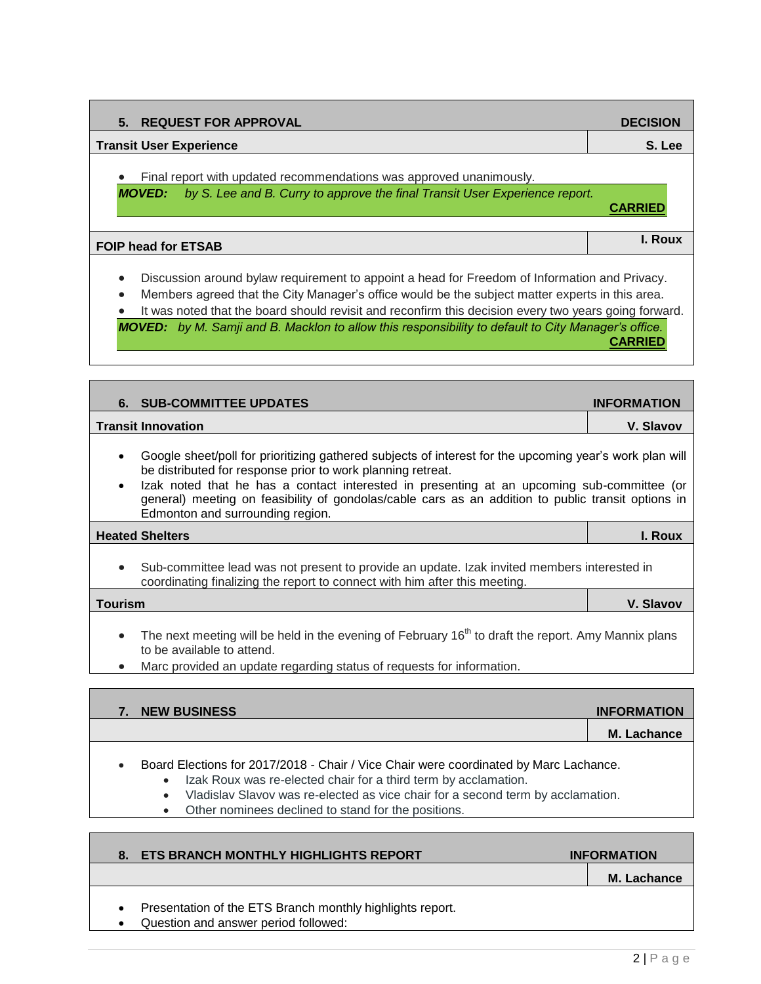| <b>REQUEST FOR APPROVAL</b><br>5.                                                                                                                                   | <b>DECISION</b> |
|---------------------------------------------------------------------------------------------------------------------------------------------------------------------|-----------------|
| <b>Transit User Experience</b>                                                                                                                                      | S. Lee          |
| Final report with updated recommendations was approved unanimously.<br>by S. Lee and B. Curry to approve the final Transit User Experience report.<br><b>MOVED:</b> | <b>CARRIED</b>  |
| <b>FOIP head for ETSAB</b>                                                                                                                                          | I. Roux         |
|                                                                                                                                                                     |                 |

- Discussion around bylaw requirement to appoint a head for Freedom of Information and Privacy.
- Members agreed that the City Manager's office would be the subject matter experts in this area.
- It was noted that the board should revisit and reconfirm this decision every two years going forward.

*MOVED: by M. Samji and B. Macklon to allow this responsibility to default to City Manager's office.* **CARRIED**

| 6. SUB-COMMITTEE UPDATES                                                                                                                                               | <b>INFORMATION</b> |
|------------------------------------------------------------------------------------------------------------------------------------------------------------------------|--------------------|
| <b>Transit Innovation</b>                                                                                                                                              | V. Slavov          |
| Google sheet/poll for prioritizing gathered subjects of interest for the upcoming year's work plan will<br>be distributed for response prior to work planning retreat. |                    |

 Izak noted that he has a contact interested in presenting at an upcoming sub-committee (or general) meeting on feasibility of gondolas/cable cars as an addition to public transit options in Edmonton and surrounding region.

### **Heated Shelters I. Roux**

 Sub-committee lead was not present to provide an update. Izak invited members interested in coordinating finalizing the report to connect with him after this meeting.

**Tourism V. Slavov**

- The next meeting will be held in the evening of February 16<sup>th</sup> to draft the report. Amy Mannix plans to be available to attend.
- Marc provided an update regarding status of requests for information.

| 7. NEW BUSINESS                                                                       | <b>INFORMATION</b> |
|---------------------------------------------------------------------------------------|--------------------|
|                                                                                       | M. Lachance        |
| Board Elections for 2017/2018 - Chair / Vice Chair were coordinated by Marc Lachance. |                    |

- Izak Roux was re-elected chair for a third term by acclamation.
- Vladislav Slavov was re-elected as vice chair for a second term by acclamation.
- Other nominees declined to stand for the positions.

|                        | 8. ETS BRANCH MONTHLY HIGHLIGHTS REPORT                                                           | <b>INFORMATION</b> |
|------------------------|---------------------------------------------------------------------------------------------------|--------------------|
|                        |                                                                                                   | M. Lachance        |
| $\bullet$<br>$\bullet$ | Presentation of the ETS Branch monthly highlights report.<br>Question and answer period followed: |                    |